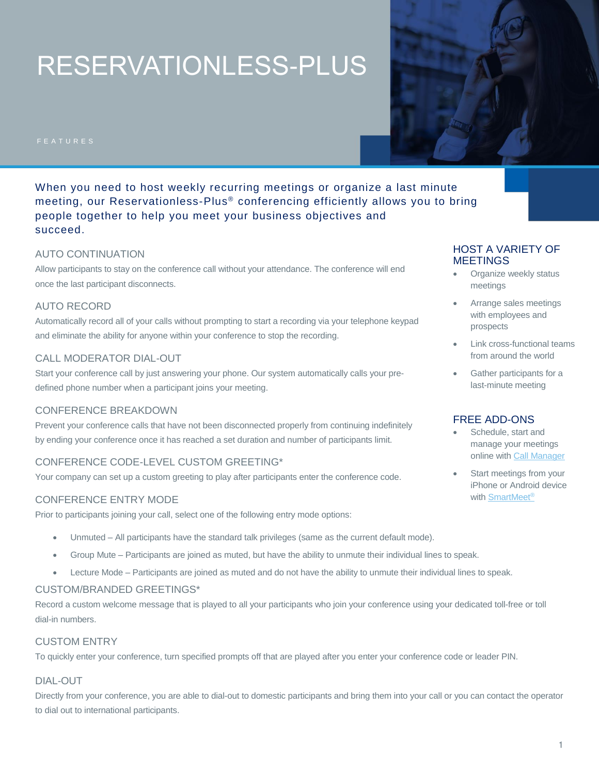# RESERVATIONLESS-PLUS

When you need to host weekly recurring meetings or organize a last minute meeting, our Reservationless-Plus® conferencing efficiently allows you to bring people together to help you meet your business objectives and succeed.

#### AUTO CONTINUATION

Allow participants to stay on the conference call without your attendance. The conference will end once the last participant disconnects.

#### AUTO RECORD

Automatically record all of your calls without prompting to start a recording via your telephone keypad and eliminate the ability for anyone within your conference to stop the recording.

#### CALL MODERATOR DIAL-OUT

Start your conference call by just answering your phone. Our system automatically calls your predefined phone number when a participant joins your meeting.

#### CONFERENCE BREAKDOWN

Prevent your conference calls that have not been disconnected properly from continuing indefinitely by ending your conference once it has reached a set duration and number of participants limit.

# CONFERENCE CODE-LEVEL CUSTOM GREETING\*

Your company can set up a custom greeting to play after participants enter the conference code.

#### CONFERENCE ENTRY MODE

Prior to participants joining your call, select one of the following entry mode options:

- Unmuted All participants have the standard talk privileges (same as the current default mode).
- Group Mute Participants are joined as muted, but have the ability to unmute their individual lines to speak.
- Lecture Mode Participants are joined as muted and do not have the ability to unmute their individual lines to speak.

#### CUSTOM/BRANDED GREETINGS\*

Record a custom welcome message that is played to all your participants who join your conference using your dedicated toll-free or toll dial-in numbers.

#### CUSTOM ENTRY

To quickly enter your conference, turn specified prompts off that are played after you enter your conference code or leader PIN.

#### DIAL-OUT

Directly from your conference, you are able to dial-out to domestic participants and bring them into your call or you can contact the operator to dial out to international participants.

# HOST A VARIETY OF **MEETINGS**

- Organize weekly status meetings
- Arrange sales meetings with employees and prospects
- Link cross-functional teams from around the world
- Gather participants for a last-minute meeting

### FREE ADD-ONS

- Schedule, start and manage your meetings online with [Call Manager](http://www.meetingconnect.net/call-manager/)
- Start meetings from your iPhone or Android device with [SmartMeet](http://www.meetingconnect.net/smartmeet/)®

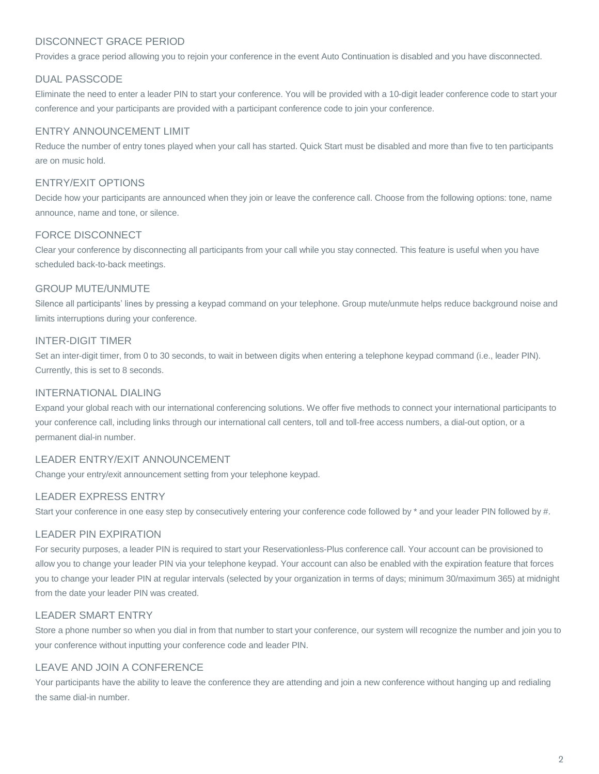# DISCONNECT GRACE PERIOD

Provides a grace period allowing you to rejoin your conference in the event Auto Continuation is disabled and you have disconnected.

### DUAL PASSCODE

Eliminate the need to enter a leader PIN to start your conference. You will be provided with a 10-digit leader conference code to start your conference and your participants are provided with a participant conference code to join your conference.

### ENTRY ANNOUNCEMENT LIMIT

Reduce the number of entry tones played when your call has started. Quick Start must be disabled and more than five to ten participants are on music hold.

# ENTRY/EXIT OPTIONS

Decide how your participants are announced when they join or leave the conference call. Choose from the following options: tone, name announce, name and tone, or silence.

#### FORCE DISCONNECT

Clear your conference by disconnecting all participants from your call while you stay connected. This feature is useful when you have scheduled back-to-back meetings.

#### GROUP MUTE/UNMUTE

Silence all participants' lines by pressing a keypad command on your telephone. Group mute/unmute helps reduce background noise and limits interruptions during your conference.

# INTER-DIGIT TIMER

Set an inter-digit timer, from 0 to 30 seconds, to wait in between digits when entering a telephone keypad command (i.e., leader PIN). Currently, this is set to 8 seconds.

### INTERNATIONAL DIALING

Expand your global reach with our international conferencing solutions. We offer five methods to connect your international participants to your conference call, including links through our international call centers, toll and toll-free access numbers, a dial-out option, or a permanent dial-in number.

# LEADER ENTRY/EXIT ANNOUNCEMENT

Change your entry/exit announcement setting from your telephone keypad.

# LEADER EXPRESS ENTRY

Start your conference in one easy step by consecutively entering your conference code followed by \* and your leader PIN followed by #.

# LEADER PIN EXPIRATION

For security purposes, a leader PIN is required to start your Reservationless-Plus conference call. Your account can be provisioned to allow you to change your leader PIN via your telephone keypad. Your account can also be enabled with the expiration feature that forces you to change your leader PIN at regular intervals (selected by your organization in terms of days; minimum 30/maximum 365) at midnight from the date your leader PIN was created.

# LEADER SMART ENTRY

Store a phone number so when you dial in from that number to start your conference, our system will recognize the number and join you to your conference without inputting your conference code and leader PIN.

# LEAVE AND JOIN A CONFERENCE

Your participants have the ability to leave the conference they are attending and join a new conference without hanging up and redialing the same dial-in number.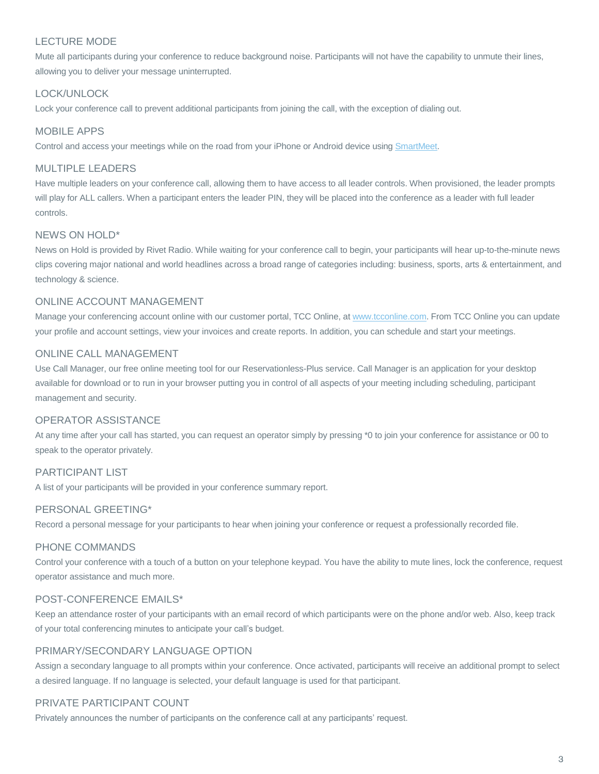# LECTURE MODE

Mute all participants during your conference to reduce background noise. Participants will not have the capability to unmute their lines, allowing you to deliver your message uninterrupted.

# LOCK/UNLOCK

Lock your conference call to prevent additional participants from joining the call, with the exception of dialing out.

### MOBILE APPS

Control and access your meetings while on the road from your iPhone or Android device using [SmartMeet.](http://www.meetingconnect.net/smartmeet/)

### MULTIPLE LEADERS

Have multiple leaders on your conference call, allowing them to have access to all leader controls. When provisioned, the leader prompts will play for ALL callers. When a participant enters the leader PIN, they will be placed into the conference as a leader with full leader controls.

#### NEWS ON HOLD\*

News on Hold is provided by Rivet Radio. While waiting for your conference call to begin, your participants will hear up-to-the-minute news clips covering major national and world headlines across a broad range of categories including: business, sports, arts & entertainment, and technology & science.

#### ONLINE ACCOUNT MANAGEMENT

Manage your conferencing account online with our customer portal, TCC Online, a[t www.tcconline.com.](http://www.tcconline.com/) From TCC Online you can update your profile and account settings, view your invoices and create reports. In addition, you can schedule and start your meetings.

#### ONLINE CALL MANAGEMENT

Use Call Manager, our free online meeting tool for our Reservationless-Plus service. Call Manager is an application for your desktop available for download or to run in your browser putting you in control of all aspects of your meeting including scheduling, participant management and security.

#### OPERATOR ASSISTANCE

At any time after your call has started, you can request an operator simply by pressing \*0 to join your conference for assistance or 00 to speak to the operator privately.

#### PARTICIPANT LIST

A list of your participants will be provided in your conference summary report.

#### PERSONAL GREETING\*

Record a personal message for your participants to hear when joining your conference or request a professionally recorded file.

#### PHONE COMMANDS

Control your conference with a touch of a button on your telephone keypad. You have the ability to mute lines, lock the conference, request operator assistance and much more.

#### POST-CONFERENCE EMAILS\*

Keep an attendance roster of your participants with an email record of which participants were on the phone and/or web. Also, keep track of your total conferencing minutes to anticipate your call's budget.

# PRIMARY/SECONDARY LANGUAGE OPTION

Assign a secondary language to all prompts within your conference. Once activated, participants will receive an additional prompt to select a desired language. If no language is selected, your default language is used for that participant.

# PRIVATE PARTICIPANT COUNT

Privately announces the number of participants on the conference call at any participants' request.